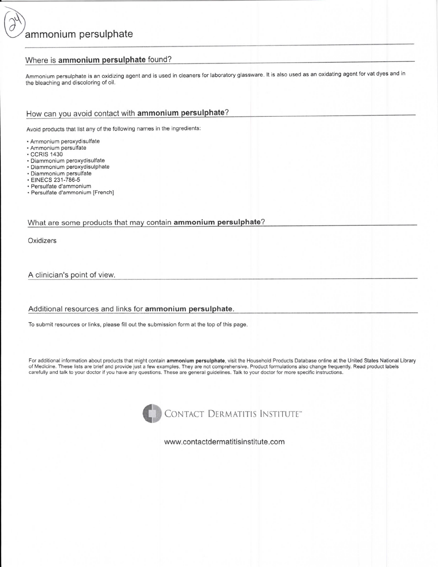### Where is ammonium persulphate found?

Ammonium persulphate is an oxidizing agent and is used in cleaners for laboratory glassware. It is also used as an oxidating agent for vat dyes and in the bleaching and discoloring of oil.

# How can you avoid contact with ammonium persulphate?

Avoid products that list any of the following names in the ingredients:

- · Ammonium peroxydisulfate
- · Ammonium persulfate
- **CCRIS 1430**
- · Diammonium peroxydisulfate
- · Diammonium peroxydisulphate
- · Diammonium persulfate
- · EINECS 231-786-5
- · Persulfate d'ammonium
- · Persulfate d'ammonium [French]

#### What are some products that may contain ammonium persulphate?

Oxidizers

A clinician's point of view.

#### Additional resources and links for ammonium persulphate.

To submit resources or links, please fill out the submission form at the top of this page.

For additional information about products that might contain ammonium persulphate, visit the Household Products Database online at the United States National Library of Medicine. These lists are brief and provide just a few examples. They are not comprehensive. Product formulations also change frequently. Read product labels carefully and talk to your doctor if you have any questions. These are general guidelines. Talk to your doctor for more specific instructions.



www.contactdermatitisinstitute.com